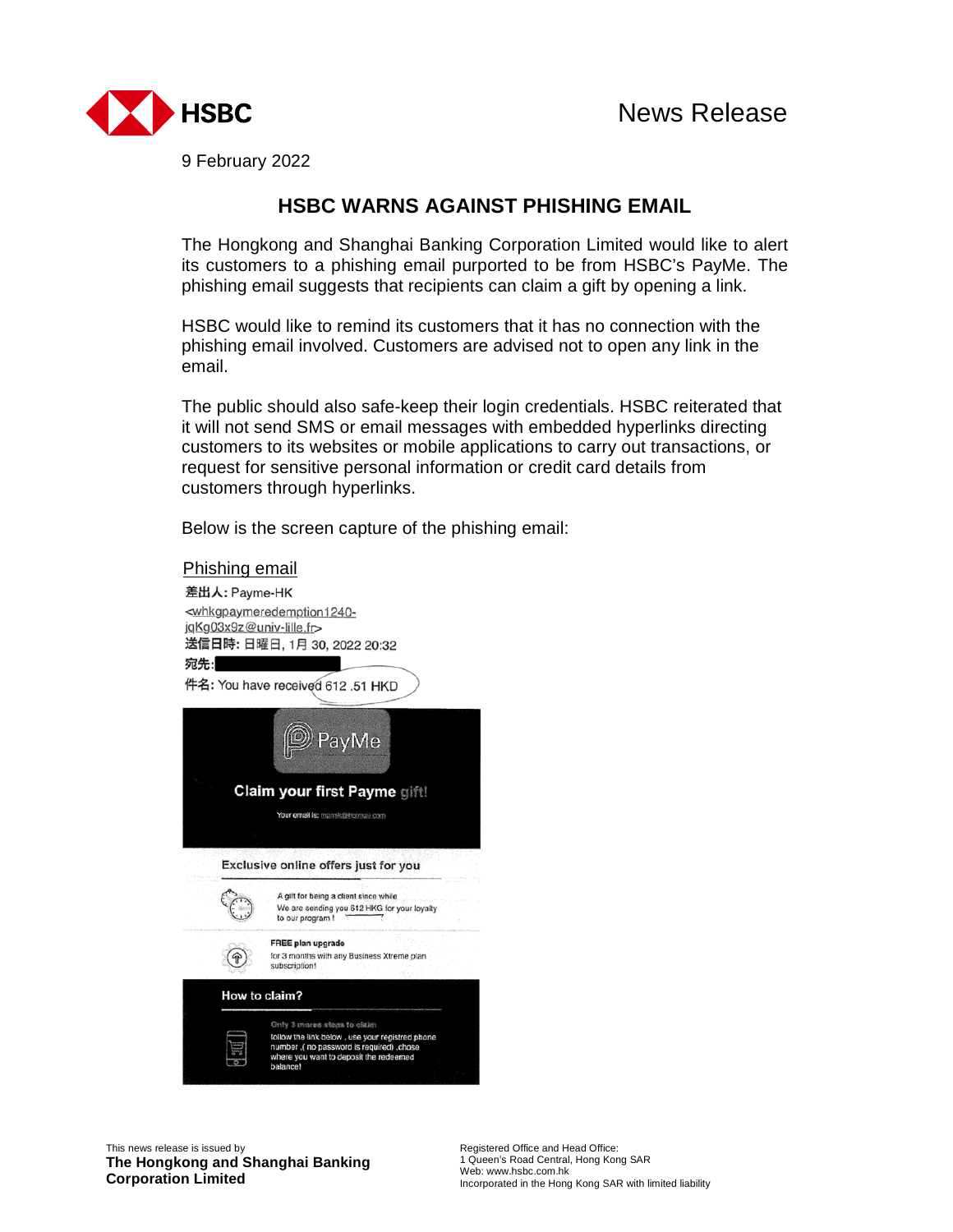

9 February 2022

## **HSBC WARNS AGAINST PHISHING EMAIL**

The Hongkong and Shanghai Banking Corporation Limited would like to alert its customers to a phishing email purported to be from HSBC's PayMe. The phishing email suggests that recipients can claim a gift by opening a link.

HSBC would like to remind its customers that it has no connection with the phishing email involved. Customers are advised not to open any link in the email.

The public should also safe-keep their login credentials. HSBC reiterated that it will not send SMS or email messages with embedded hyperlinks directing customers to its websites or mobile applications to carry out transactions, or request for sensitive personal information or credit card details from customers through hyperlinks.

Below is the screen capture of the phishing email:

## Phishing email



This news release is issued by **The Hongkong and Shanghai Banking Corporation Limited**